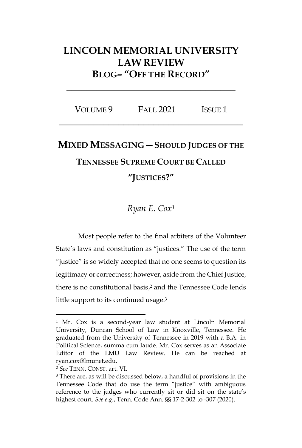## **LINCOLN MEMORIAL UNIVERSITY LAW REVIEW BLOG– "OFF THE RECORD"**

| VOLUME 9 | FALL 2021 | <b>ISSUE 1</b> |  |
|----------|-----------|----------------|--|
|----------|-----------|----------------|--|

**\_\_\_\_\_\_\_\_\_\_\_\_\_\_\_\_\_\_\_\_\_\_\_\_\_\_\_\_\_\_\_\_\_\_**

## **MIXED MESSAGING—SHOULD JUDGES OF THE**

## **TENNESSEE SUPREME COURT BE CALLED**

## **"JUSTICES?"**

*Ryan E. Cox<sup>1</sup>*

Most people refer to the final arbiters of the Volunteer State's laws and constitution as "justices." The use of the term "justice" is so widely accepted that no one seems to question its legitimacy or correctness; however, aside from the Chief Justice, there is no constitutional basis, <sup>2</sup> and the Tennessee Code lends little support to its continued usage.<sup>3</sup>

<sup>1</sup> Mr. Cox is a second-year law student at Lincoln Memorial University, Duncan School of Law in Knoxville, Tennessee. He graduated from the University of Tennessee in 2019 with a B.A. in Political Science, summa cum laude. Mr. Cox serves as an Associate Editor of the LMU Law Review. He can be reached at ryan.cox@lmunet.edu.

<sup>2</sup> *See* TENN. CONST. art. VI.

<sup>&</sup>lt;sup>3</sup> There are, as will be discussed below, a handful of provisions in the Tennessee Code that do use the term "justice" with ambiguous reference to the judges who currently sit or did sit on the state's highest court. *See e.g.*, Tenn. Code Ann. §§ 17-2-302 to -307 (2020).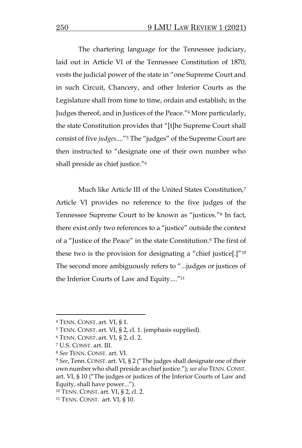The chartering language for the Tennessee judiciary, laid out in Article VI of the Tennessee Constitution of 1870, vests the judicial power of the state in "one Supreme Court and in such Circuit, Chancery, and other Inferior Courts as the Legislature shall from time to time, ordain and establish; in the Judges thereof, and in Justices of the Peace."<sup>4</sup> More particularly, the state Constitution provides that "[t]he Supreme Court shall consist of five *judges*...."<sup>5</sup> The "judges" of the Supreme Court are then instructed to "designate one of their own number who shall preside as chief justice."<sup>6</sup>

Much like Article III of the United States Constitution,<sup>7</sup> Article VI provides no reference to the five judges of the Tennessee Supreme Court to be known as "justices."<sup>8</sup> In fact, there exist only two references to a "justice" outside the context of a "Justice of the Peace" in the state Constitution.<sup>9</sup> The first of these two is the provision for designating a "chief justice[.]"<sup>10</sup> The second more ambiguously refers to "...judges or justices of the Inferior Courts of Law and Equity...."<sup>11</sup>

<sup>4</sup> TENN. CONST. art. VI, § 1.

<sup>5</sup> TENN. CONST. art. VI, § 2, cl. 1. (emphasis supplied).

<sup>6</sup> TENN. CONST. art. VI, § 2, cl. 2.

<sup>7</sup> U.S. CONST. art. III.

<sup>8</sup> *See* TENN. CONST. art. VI.

<sup>9</sup> *See*, Tenn. CONST. art. VI, § 2 ("The judges shall designate one of their own number who shall preside as chief justice."); *see also* TENN. CONST. art. VI, § 10 ("The judges or justices of the Inferior Courts of Law and Equity, shall have power...").

<sup>10</sup> TENN. CONST. art. VI, § 2, cl. 2.

<sup>11</sup> TENN. CONST. art. VI, § 10.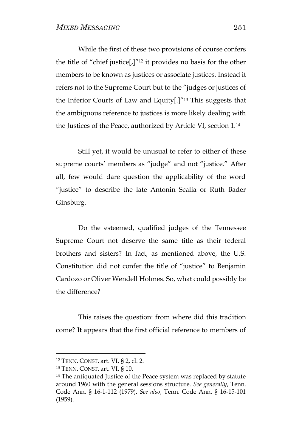While the first of these two provisions of course confers the title of "chief justice[,]"<sup>12</sup> it provides no basis for the other members to be known as justices or associate justices. Instead it refers not to the Supreme Court but to the "judges or justices of the Inferior Courts of Law and Equity[.]"<sup>13</sup> This suggests that the ambiguous reference to justices is more likely dealing with the Justices of the Peace, authorized by Article VI, section 1.<sup>14</sup>

Still yet, it would be unusual to refer to either of these supreme courts' members as "judge" and not "justice." After all, few would dare question the applicability of the word "justice" to describe the late Antonin Scalia or Ruth Bader Ginsburg.

Do the esteemed, qualified judges of the Tennessee Supreme Court not deserve the same title as their federal brothers and sisters? In fact, as mentioned above, the U.S. Constitution did not confer the title of "justice" to Benjamin Cardozo or Oliver Wendell Holmes. So, what could possibly be the difference?

This raises the question: from where did this tradition come? It appears that the first official reference to members of

<sup>12</sup> TENN. CONST. art. VI, § 2, cl. 2.

<sup>13</sup> TENN. CONST. art. VI, § 10.

<sup>&</sup>lt;sup>14</sup> The antiquated Justice of the Peace system was replaced by statute around 1960 with the general sessions structure. *See generally*, Tenn. Code Ann. § 16-1-112 (1979). *See also*, Tenn. Code Ann. § 16-15-101 (1959).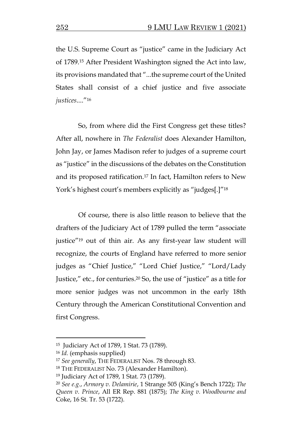the U.S. Supreme Court as "justice" came in the Judiciary Act of 1789.<sup>15</sup> After President Washington signed the Act into law, its provisions mandated that "...the supreme court of the United States shall consist of a chief justice and five associate *justices*...."<sup>16</sup>

So, from where did the First Congress get these titles? After all, nowhere in *The Federalist* does Alexander Hamilton, John Jay, or James Madison refer to judges of a supreme court as "justice" in the discussions of the debates on the Constitution and its proposed ratification.<sup>17</sup> In fact, Hamilton refers to New York's highest court's members explicitly as "judges[.]"<sup>18</sup>

Of course, there is also little reason to believe that the drafters of the Judiciary Act of 1789 pulled the term "associate justice"<sup>19</sup> out of thin air. As any first-year law student will recognize, the courts of England have referred to more senior judges as "Chief Justice," "Lord Chief Justice," "Lord/Lady Justice," etc., for centuries.<sup>20</sup> So, the use of "justice" as a title for more senior judges was not uncommon in the early 18th Century through the American Constitutional Convention and first Congress.

<sup>15</sup> Judiciary Act of 1789, 1 Stat. 73 (1789).

<sup>16</sup> *Id.* (emphasis supplied)

<sup>17</sup> *See generally*, THE FEDERALIST Nos. 78 through 83.

<sup>18</sup> THE FEDERALIST No. 73 (Alexander Hamilton).

<sup>19</sup> Judiciary Act of 1789, 1 Stat. 73 (1789).

<sup>20</sup> *See e.g.*, *Armory v. Delamirie*, 1 Strange 505 (King's Bench 1722); *The Queen v. Prince*, All ER Rep. 881 (1875); *The King v. Woodbourne and*  Coke, 16 St. Tr. 53 (1722).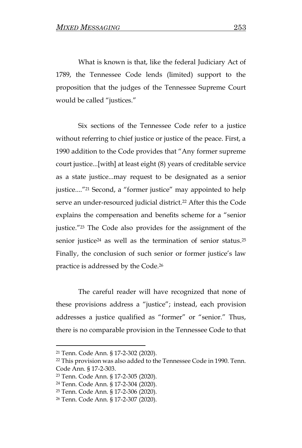What is known is that, like the federal Judiciary Act of 1789, the Tennessee Code lends (limited) support to the proposition that the judges of the Tennessee Supreme Court would be called "justices."

Six sections of the Tennessee Code refer to a justice without referring to chief justice or justice of the peace. First, a 1990 addition to the Code provides that "Any former supreme court justice...[with] at least eight (8) years of creditable service as a state justice...may request to be designated as a senior justice...."<sup>21</sup> Second, a "former justice" may appointed to help serve an under-resourced judicial district.<sup>22</sup> After this the Code explains the compensation and benefits scheme for a "senior justice."<sup>23</sup> The Code also provides for the assignment of the senior justice<sup>24</sup> as well as the termination of senior status.<sup>25</sup> Finally, the conclusion of such senior or former justice's law practice is addressed by the Code.<sup>26</sup>

The careful reader will have recognized that none of these provisions address a "justice"; instead, each provision addresses a justice qualified as "former" or "senior." Thus, there is no comparable provision in the Tennessee Code to that

<sup>21</sup> Tenn. Code Ann. § 17-2-302 (2020).

<sup>22</sup> This provision was also added to the Tennessee Code in 1990. Tenn. Code Ann. § 17-2-303.

<sup>23</sup> Tenn. Code Ann. § 17-2-305 (2020).

<sup>24</sup> Tenn. Code Ann. § 17-2-304 (2020).

<sup>25</sup> Tenn. Code Ann. § 17-2-306 (2020).

<sup>26</sup> Tenn. Code Ann. § 17-2-307 (2020).